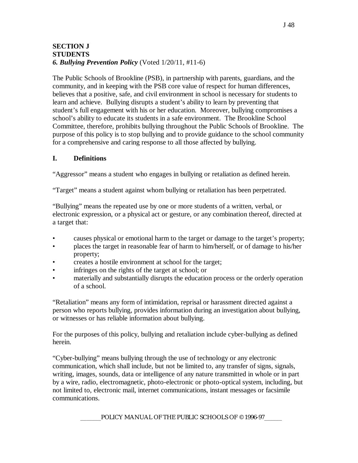#### **SECTION J STUDENTS** *6. Bullying Prevention Policy* (Voted 1/20/11, #11-6)

The Public Schools of Brookline (PSB), in partnership with parents, guardians, and the community, and in keeping with the PSB core value of respect for human differences, believes that a positive, safe, and civil environment in school is necessary for students to learn and achieve. Bullying disrupts a student's ability to learn by preventing that student's full engagement with his or her education. Moreover, bullying compromises a school's ability to educate its students in a safe environment. The Brookline School Committee, therefore, prohibits bullying throughout the Public Schools of Brookline. The purpose of this policy is to stop bullying and to provide guidance to the school community for a comprehensive and caring response to all those affected by bullying.

### **I. Definitions**

"Aggressor" means a student who engages in bullying or retaliation as defined herein.

"Target" means a student against whom bullying or retaliation has been perpetrated.

"Bullying" means the repeated use by one or more students of a written, verbal, or electronic expression, or a physical act or gesture, or any combination thereof, directed at a target that:

- causes physical or emotional harm to the target or damage to the target's property;
- places the target in reasonable fear of harm to him/herself, or of damage to his/her property;
- creates a hostile environment at school for the target;
- infringes on the rights of the target at school; or
- materially and substantially disrupts the education process or the orderly operation of a school.

"Retaliation" means any form of intimidation, reprisal or harassment directed against a person who reports bullying, provides information during an investigation about bullying, or witnesses or has reliable information about bullying.

For the purposes of this policy, bullying and retaliation include cyber-bullying as defined herein.

"Cyber-bullying" means bullying through the use of technology or any electronic communication, which shall include, but not be limited to, any transfer of signs, signals, writing, images, sounds, data or intelligence of any nature transmitted in whole or in part by a wire, radio, electromagnetic, photo-electronic or photo-optical system, including, but not limited to, electronic mail, internet communications, instant messages or facsimile communications.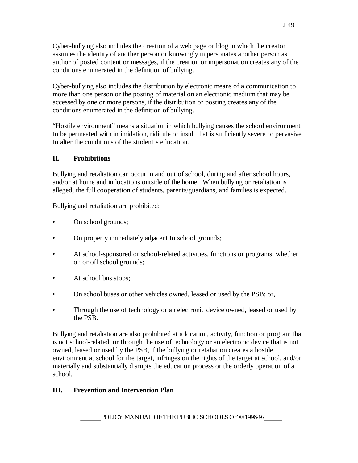Cyber-bullying also includes the creation of a web page or blog in which the creator assumes the identity of another person or knowingly impersonates another person as author of posted content or messages, if the creation or impersonation creates any of the conditions enumerated in the definition of bullying.

Cyber-bullying also includes the distribution by electronic means of a communication to more than one person or the posting of material on an electronic medium that may be accessed by one or more persons, if the distribution or posting creates any of the conditions enumerated in the definition of bullying.

"Hostile environment" means a situation in which bullying causes the school environment to be permeated with intimidation, ridicule or insult that is sufficiently severe or pervasive to alter the conditions of the student's education.

## **II. Prohibitions**

Bullying and retaliation can occur in and out of school, during and after school hours, and/or at home and in locations outside of the home. When bullying or retaliation is alleged, the full cooperation of students, parents/guardians, and families is expected.

Bullying and retaliation are prohibited:

- On school grounds;
- On property immediately adjacent to school grounds;
- At school-sponsored or school-related activities, functions or programs, whether on or off school grounds;
- At school bus stops;
- On school buses or other vehicles owned, leased or used by the PSB; or,
- Through the use of technology or an electronic device owned, leased or used by the PSB.

Bullying and retaliation are also prohibited at a location, activity, function or program that is not school-related, or through the use of technology or an electronic device that is not owned, leased or used by the PSB, if the bullying or retaliation creates a hostile environment at school for the target, infringes on the rights of the target at school, and/or materially and substantially disrupts the education process or the orderly operation of a school.

### **III. Prevention and Intervention Plan**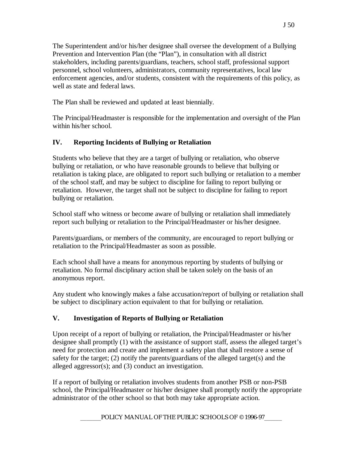The Superintendent and/or his/her designee shall oversee the development of a Bullying Prevention and Intervention Plan (the "Plan"), in consultation with all district stakeholders, including parents/guardians, teachers, school staff, professional support personnel, school volunteers, administrators, community representatives, local law enforcement agencies, and/or students, consistent with the requirements of this policy, as well as state and federal laws.

The Plan shall be reviewed and updated at least biennially.

The Principal/Headmaster is responsible for the implementation and oversight of the Plan within his/her school.

## **IV. Reporting Incidents of Bullying or Retaliation**

Students who believe that they are a target of bullying or retaliation, who observe bullying or retaliation, or who have reasonable grounds to believe that bullying or retaliation is taking place, are obligated to report such bullying or retaliation to a member of the school staff, and may be subject to discipline for failing to report bullying or retaliation. However, the target shall not be subject to discipline for failing to report bullying or retaliation.

School staff who witness or become aware of bullying or retaliation shall immediately report such bullying or retaliation to the Principal/Headmaster or his/her designee.

Parents/guardians, or members of the community, are encouraged to report bullying or retaliation to the Principal/Headmaster as soon as possible.

Each school shall have a means for anonymous reporting by students of bullying or retaliation. No formal disciplinary action shall be taken solely on the basis of an anonymous report.

Any student who knowingly makes a false accusation/report of bullying or retaliation shall be subject to disciplinary action equivalent to that for bullying or retaliation.

# **V. Investigation of Reports of Bullying or Retaliation**

Upon receipt of a report of bullying or retaliation, the Principal/Headmaster or his/her designee shall promptly (1) with the assistance of support staff, assess the alleged target's need for protection and create and implement a safety plan that shall restore a sense of safety for the target; (2) notify the parents/guardians of the alleged target(s) and the alleged aggressor(s); and (3) conduct an investigation.

If a report of bullying or retaliation involves students from another PSB or non-PSB school, the Principal/Headmaster or his/her designee shall promptly notify the appropriate administrator of the other school so that both may take appropriate action.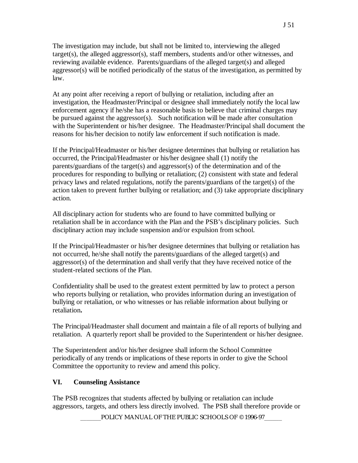The investigation may include, but shall not be limited to, interviewing the alleged target(s), the alleged aggressor(s), staff members, students and/or other witnesses, and reviewing available evidence. Parents/guardians of the alleged target(s) and alleged aggressor(s) will be notified periodically of the status of the investigation, as permitted by law.

At any point after receiving a report of bullying or retaliation, including after an investigation, the Headmaster/Principal or designee shall immediately notify the local law enforcement agency if he/she has a reasonable basis to believe that criminal charges may be pursued against the aggressor(s). Such notification will be made after consultation with the Superintendent or his/her designee. The Headmaster/Principal shall document the reasons for his/her decision to notify law enforcement if such notification is made.

If the Principal/Headmaster or his/her designee determines that bullying or retaliation has occurred, the Principal/Headmaster or his/her designee shall (1) notify the parents/guardians of the target(s) and aggressor(s) of the determination and of the procedures for responding to bullying or retaliation; (2) consistent with state and federal privacy laws and related regulations, notify the parents/guardians of the target(s) of the action taken to prevent further bullying or retaliation; and (3) take appropriate disciplinary action.

All disciplinary action for students who are found to have committed bullying or retaliation shall be in accordance with the Plan and the PSB's disciplinary policies. Such disciplinary action may include suspension and/or expulsion from school.

If the Principal/Headmaster or his/her designee determines that bullying or retaliation has not occurred, he/she shall notify the parents/guardians of the alleged target(s) and aggressor(s) of the determination and shall verify that they have received notice of the student-related sections of the Plan.

Confidentiality shall be used to the greatest extent permitted by law to protect a person who reports bullying or retaliation, who provides information during an investigation of bullying or retaliation, or who witnesses or has reliable information about bullying or retaliation**.**

The Principal/Headmaster shall document and maintain a file of all reports of bullying and retaliation. A quarterly report shall be provided to the Superintendent or his/her designee.

The Superintendent and/or his/her designee shall inform the School Committee periodically of any trends or implications of these reports in order to give the School Committee the opportunity to review and amend this policy.

### **VI. Counseling Assistance**

The PSB recognizes that students affected by bullying or retaliation can include aggressors, targets, and others less directly involved. The PSB shall therefore provide or